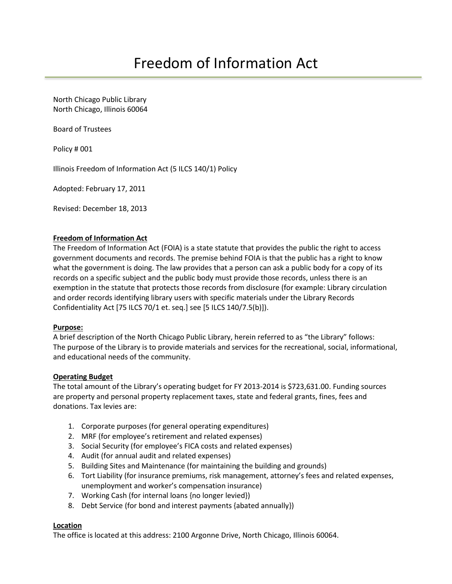North Chicago Public Library North Chicago, Illinois 60064

Board of Trustees

Policy # 001

Illinois Freedom of Information Act (5 ILCS 140/1) Policy

Adopted: February 17, 2011

Revised: December 18, 2013

#### **Freedom of Information Act**

The Freedom of Information Act (FOIA) is a state statute that provides the public the right to access government documents and records. The premise behind FOIA is that the public has a right to know what the government is doing. The law provides that a person can ask a public body for a copy of its records on a specific subject and the public body must provide those records, unless there is an exemption in the statute that protects those records from disclosure (for example: Library circulation and order records identifying library users with specific materials under the Library Records Confidentiality Act [75 ILCS 70/1 et. seq.] see [5 ILCS 140/7.5(b)]).

#### **Purpose:**

A brief description of the North Chicago Public Library, herein referred to as "the Library" follows: The purpose of the Library is to provide materials and services for the recreational, social, informational, and educational needs of the community.

#### **Operating Budget**

The total amount of the Library's operating budget for FY 2013-2014 is \$723,631.00. Funding sources are property and personal property replacement taxes, state and federal grants, fines, fees and donations. Tax levies are:

- 1. Corporate purposes (for general operating expenditures)
- 2. MRF (for employee's retirement and related expenses)
- 3. Social Security (for employee's FICA costs and related expenses)
- 4. Audit (for annual audit and related expenses)
- 5. Building Sites and Maintenance (for maintaining the building and grounds)
- 6. Tort Liability (for insurance premiums, risk management, attorney's fees and related expenses, unemployment and worker's compensation insurance)
- 7. Working Cash (for internal loans {no longer levied})
- 8. Debt Service (for bond and interest payments {abated annually})

## **Location**

The office is located at this address: 2100 Argonne Drive, North Chicago, Illinois 60064.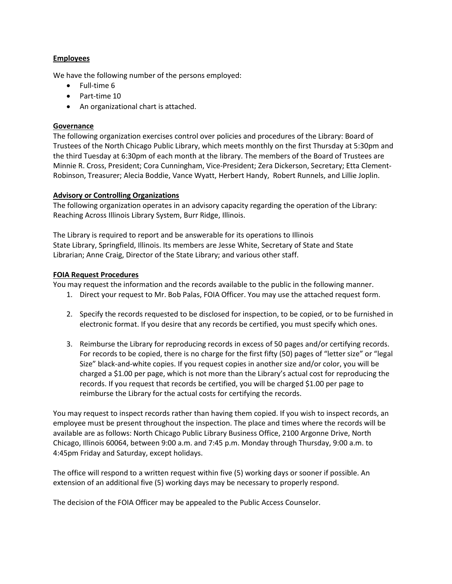## **Employees**

We have the following number of the persons employed:

- $\bullet$  Full-time 6
- $\bullet$  Part-time 10
- An organizational chart is attached.

# **Governance**

The following organization exercises control over policies and procedures of the Library: Board of Trustees of the North Chicago Public Library, which meets monthly on the first Thursday at 5:30pm and the third Tuesday at 6:30pm of each month at the library. The members of the Board of Trustees are Minnie R. Cross, President; Cora Cunningham, Vice‐President; Zera Dickerson, Secretary; Etta Clement‐ Robinson, Treasurer; Alecia Boddie, Vance Wyatt, Herbert Handy, Robert Runnels, and Lillie Joplin.

## **Advisory or Controlling Organizations**

The following organization operates in an advisory capacity regarding the operation of the Library: Reaching Across Illinois Library System, Burr Ridge, Illinois.

The Library is required to report and be answerable for its operations to Illinois State Library, Springfield, Illinois. Its members are Jesse White, Secretary of State and State Librarian; Anne Craig, Director of the State Library; and various other staff.

## **FOIA Request Procedures**

You may request the information and the records available to the public in the following manner.

- 1. Direct your request to Mr. Bob Palas, FOIA Officer. You may use the attached request form.
- 2. Specify the records requested to be disclosed for inspection, to be copied, or to be furnished in electronic format. If you desire that any records be certified, you must specify which ones.
- 3. Reimburse the Library for reproducing records in excess of 50 pages and/or certifying records. For records to be copied, there is no charge for the first fifty (50) pages of "letter size" or "legal Size" black‐and‐white copies. If you request copies in another size and/or color, you will be charged a \$1.00 per page, which is not more than the Library's actual cost for reproducing the records. If you request that records be certified, you will be charged \$1.00 per page to reimburse the Library for the actual costs for certifying the records.

You may request to inspect records rather than having them copied. If you wish to inspect records, an employee must be present throughout the inspection. The place and times where the records will be available are as follows: North Chicago Public Library Business Office, 2100 Argonne Drive, North Chicago, Illinois 60064, between 9:00 a.m. and 7:45 p.m. Monday through Thursday, 9:00 a.m. to 4:45pm Friday and Saturday, except holidays.

The office will respond to a written request within five (5) working days or sooner if possible. An extension of an additional five (5) working days may be necessary to properly respond.

The decision of the FOIA Officer may be appealed to the Public Access Counselor.